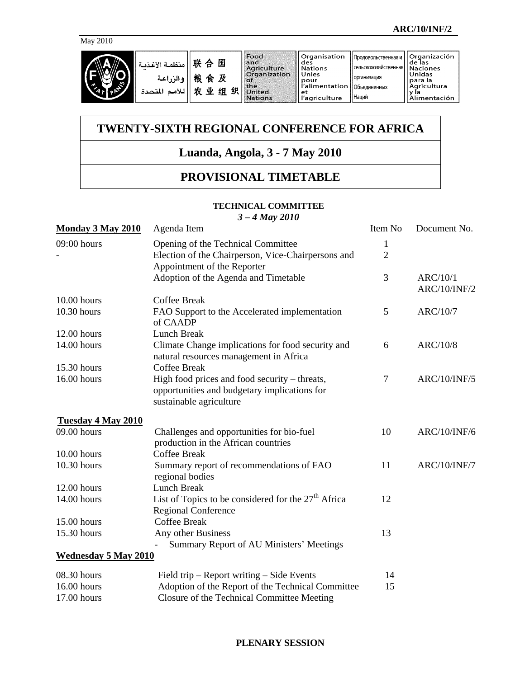

# **TWENTY-SIXTH REGIONAL CONFERENCE FOR AFRICA**

## **Luanda, Angola, 3 - 7 May 2010**

### **PROVISIONAL TIMETABLE**

#### **TECHNICAL COMMITTEE**

*3 – 4 May 2010*

| Monday 3 May 2010           | Agenda Item                                                                                                              | Item No        | Document No.                    |
|-----------------------------|--------------------------------------------------------------------------------------------------------------------------|----------------|---------------------------------|
| $09:00$ hours               | Opening of the Technical Committee                                                                                       | 1              |                                 |
|                             | Election of the Chairperson, Vice-Chairpersons and<br>Appointment of the Reporter                                        | $\overline{2}$ |                                 |
|                             | Adoption of the Agenda and Timetable                                                                                     | 3              | ARC/10/1<br><b>ARC/10/INF/2</b> |
| 10.00 hours                 | <b>Coffee Break</b>                                                                                                      |                |                                 |
| 10.30 hours                 | FAO Support to the Accelerated implementation<br>of CAADP                                                                | 5              | ARC/10/7                        |
| $12.00$ hours               | Lunch Break                                                                                                              |                |                                 |
| 14.00 hours                 | Climate Change implications for food security and<br>natural resources management in Africa                              | 6              | ARC/10/8                        |
| 15.30 hours                 | <b>Coffee Break</b>                                                                                                      |                |                                 |
| 16.00 hours                 | High food prices and food security – threats,<br>opportunities and budgetary implications for<br>sustainable agriculture | 7              | <b>ARC/10/INF/5</b>             |
| Tuesday 4 May 2010          |                                                                                                                          |                |                                 |
| 09.00 hours                 | Challenges and opportunities for bio-fuel<br>production in the African countries                                         | 10             | <b>ARC/10/INF/6</b>             |
| 10.00 hours                 | <b>Coffee Break</b>                                                                                                      |                |                                 |
| 10.30 hours                 | Summary report of recommendations of FAO<br>regional bodies                                                              | 11             | <b>ARC/10/INF/7</b>             |
| 12.00 hours                 | Lunch Break                                                                                                              |                |                                 |
| 14.00 hours                 | List of Topics to be considered for the $27th$ Africa<br><b>Regional Conference</b>                                      | 12             |                                 |
| 15.00 hours                 | <b>Coffee Break</b>                                                                                                      |                |                                 |
| 15.30 hours                 | Any other Business<br>Summary Report of AU Ministers' Meetings                                                           | 13             |                                 |
| <b>Wednesday 5 May 2010</b> |                                                                                                                          |                |                                 |
| 08.30 hours                 | Field trip - Report writing - Side Events                                                                                | 14             |                                 |
| 16.00 hours                 | Adoption of the Report of the Technical Committee                                                                        | 15             |                                 |
| 17.00 hours                 | Closure of the Technical Committee Meeting                                                                               |                |                                 |

#### **PLENARY SESSION**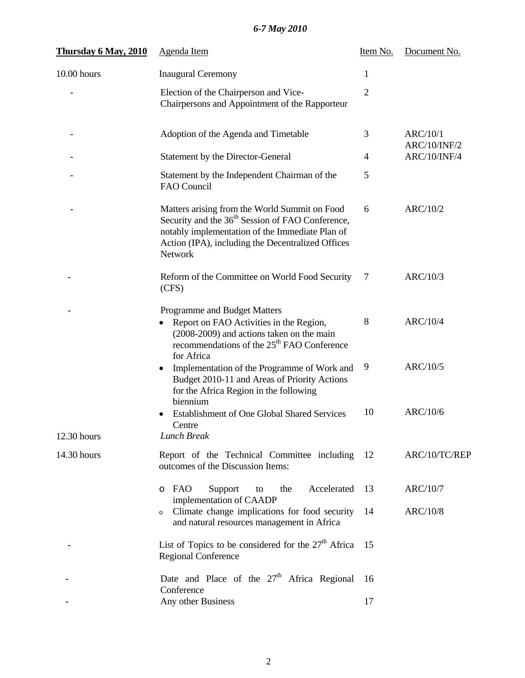## *6-7 May 2010*

| Thursday 6 May, 2010 | <b>Agenda</b> Item                                                                                                                                                                                                               | Item No. | Document No.                    |
|----------------------|----------------------------------------------------------------------------------------------------------------------------------------------------------------------------------------------------------------------------------|----------|---------------------------------|
| 10.00 hours          | <b>Inaugural Ceremony</b>                                                                                                                                                                                                        | 1        |                                 |
|                      | Election of the Chairperson and Vice-<br>Chairpersons and Appointment of the Rapporteur                                                                                                                                          | 2        |                                 |
|                      | Adoption of the Agenda and Timetable                                                                                                                                                                                             | 3        | <b>ARC/10/1</b><br>ARC/10/INF/2 |
|                      | Statement by the Director-General                                                                                                                                                                                                | 4        | ARC/10/INF/4                    |
|                      | Statement by the Independent Chairman of the<br>FAO Council                                                                                                                                                                      | 5        |                                 |
|                      | Matters arising from the World Summit on Food<br>Security and the 36 <sup>th</sup> Session of FAO Conference,<br>notably implementation of the Immediate Plan of<br>Action (IPA), including the Decentralized Offices<br>Network | 6        | ARC/10/2                        |
|                      | Reform of the Committee on World Food Security<br>(CFS)                                                                                                                                                                          | 7        | ARC/10/3                        |
|                      | Programme and Budget Matters<br>Report on FAO Activities in the Region,<br>(2008-2009) and actions taken on the main<br>recommendations of the 25 <sup>th</sup> FAO Conference<br>for Africa                                     | 8        | ARC/10/4                        |
|                      | Implementation of the Programme of Work and<br>Budget 2010-11 and Areas of Priority Actions<br>for the Africa Region in the following<br>biennium                                                                                | 9        | ARC/10/5                        |
| 12.30 hours          | <b>Establishment of One Global Shared Services</b><br>Centre<br><b>Lunch Break</b>                                                                                                                                               | 10       | ARC/10/6                        |
| 14.30 hours          | Report of the Technical Committee including<br>outcomes of the Discussion Items:                                                                                                                                                 | 12       | ARC/10/TC/REP                   |
|                      | Accelerated<br>FAO<br>Support<br>the<br>to<br>$\circ$<br>implementation of CAADP                                                                                                                                                 | 13       | ARC/10/7                        |
|                      | Climate change implications for food security<br>$\circ$<br>and natural resources management in Africa                                                                                                                           | 14       | <b>ARC/10/8</b>                 |
|                      | List of Topics to be considered for the $27th$ Africa<br><b>Regional Conference</b>                                                                                                                                              | 15       |                                 |
|                      | Date and Place of the 27 <sup>th</sup> Africa Regional<br>Conference                                                                                                                                                             | 16       |                                 |
|                      | Any other Business                                                                                                                                                                                                               | 17       |                                 |